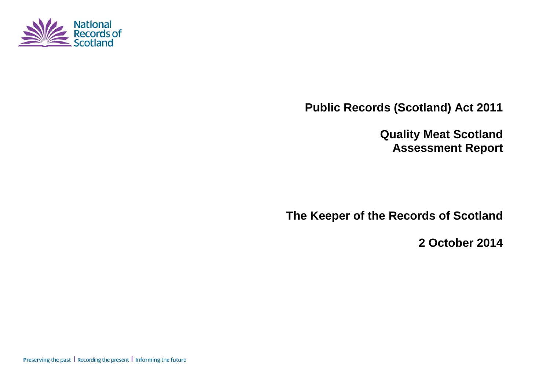

**Public Records (Scotland) Act 2011**

**Quality Meat Scotland Assessment Report**

**The Keeper of the Records of Scotland**

**2 October 2014**

Preserving the past | Recording the present | Informing the future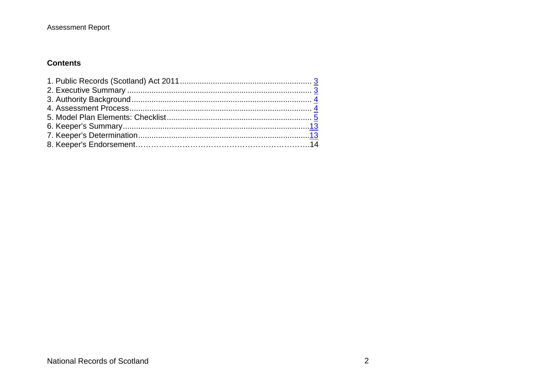#### **Contents**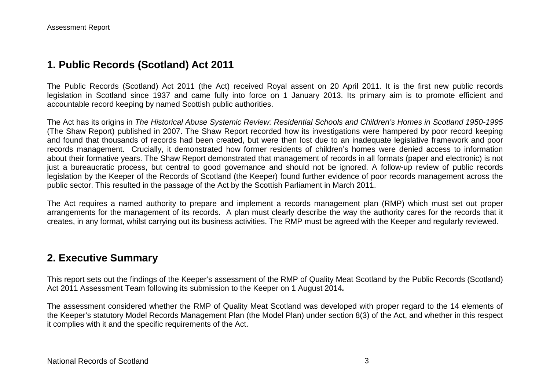### **1. Public Records (Scotland) Act 2011**

The Public Records (Scotland) Act 2011 (the Act) received Royal assent on 20 April 2011. It is the first new public records legislation in Scotland since 1937 and came fully into force on 1 January 2013. Its primary aim is to promote efficient and accountable record keeping by named Scottish public authorities.

The Act has its origins in *The Historical Abuse Systemic Review: Residential Schools and Children's Homes in Scotland 1950-1995* (The Shaw Report) published in 2007. The Shaw Report recorded how its investigations were hampered by poor record keeping and found that thousands of records had been created, but were then lost due to an inadequate legislative framework and poor records management. Crucially, it demonstrated how former residents of children's homes were denied access to information about their formative years. The Shaw Report demonstrated that management of records in all formats (paper and electronic) is not just a bureaucratic process, but central to good governance and should not be ignored. A follow-up review of public records legislation by the Keeper of the Records of Scotland (the Keeper) found further evidence of poor records management across the public sector. This resulted in the passage of the Act by the Scottish Parliament in March 2011.

The Act requires a named authority to prepare and implement a records management plan (RMP) which must set out proper arrangements for the management of its records. A plan must clearly describe the way the authority cares for the records that it creates, in any format, whilst carrying out its business activities. The RMP must be agreed with the Keeper and regularly reviewed.

### **2. Executive Summary**

This report sets out the findings of the Keeper's assessment of the RMP of Quality Meat Scotland by the Public Records (Scotland) Act 2011 Assessment Team following its submission to the Keeper on 1 August 2014*.*

The assessment considered whether the RMP of Quality Meat Scotland was developed with proper regard to the 14 elements of the Keeper's statutory Model Records Management Plan (the Model Plan) under section 8(3) of the Act, and whether in this respect it complies with it and the specific requirements of the Act.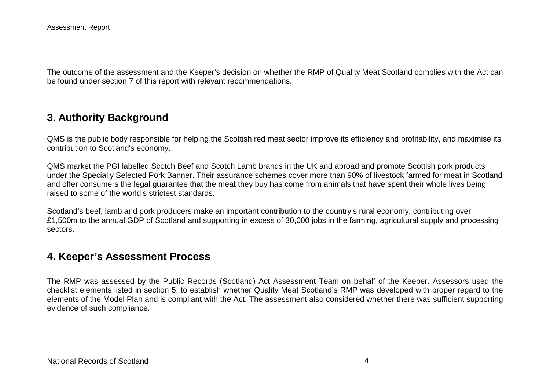The outcome of the assessment and the Keeper's decision on whether the RMP of Quality Meat Scotland complies with the Act can be found under section 7 of this report with relevant recommendations.

### **3. Authority Background**

QMS is the public body responsible for helping the Scottish red meat sector improve its efficiency and profitability, and maximise its contribution to Scotland's economy.

QMS market the PGI labelled Scotch Beef and Scotch Lamb brands in the UK and abroad and promote Scottish pork products under the Specially Selected Pork Banner. Their assurance schemes cover more than 90% of livestock farmed for meat in Scotland and offer consumers the legal guarantee that the meat they buy has come from animals that have spent their whole lives being raised to some of the world's strictest standards.

Scotland's beef, lamb and pork producers make an important contribution to the country's rural economy, contributing over £1,500m to the annual GDP of Scotland and supporting in excess of 30,000 jobs in the farming, agricultural supply and processing sectors.

#### **4. Keeper's Assessment Process**

The RMP was assessed by the Public Records (Scotland) Act Assessment Team on behalf of the Keeper. Assessors used the checklist elements listed in section 5, to establish whether Quality Meat Scotland's RMP was developed with proper regard to the elements of the Model Plan and is compliant with the Act. The assessment also considered whether there was sufficient supporting evidence of such compliance.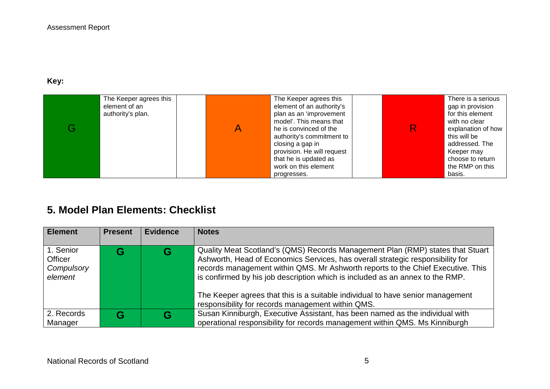**Key:** 

|  | The Keeper agrees this<br>element of an<br>authority's plan. |  | The Keeper agrees this<br>element of an authority's<br>plan as an 'improvement<br>model'. This means that<br>he is convinced of the<br>authority's commitment to<br>closing a gap in<br>provision. He will request<br>that he is updated as<br>work on this element<br>progresses. |  | There is a serious<br>gap in provision<br>for this element<br>with no clear<br>explanation of how<br>this will be<br>addressed. The<br>Keeper may<br>choose to return<br>the RMP on this<br>basis. |
|--|--------------------------------------------------------------|--|------------------------------------------------------------------------------------------------------------------------------------------------------------------------------------------------------------------------------------------------------------------------------------|--|----------------------------------------------------------------------------------------------------------------------------------------------------------------------------------------------------|
|--|--------------------------------------------------------------|--|------------------------------------------------------------------------------------------------------------------------------------------------------------------------------------------------------------------------------------------------------------------------------------|--|----------------------------------------------------------------------------------------------------------------------------------------------------------------------------------------------------|

# **5. Model Plan Elements: Checklist**

| <b>Element</b>                                | <b>Present</b> | <b>Evidence</b> | <b>Notes</b>                                                                                                                                                                                                                                                                                                                                                                                                                                                                |
|-----------------------------------------------|----------------|-----------------|-----------------------------------------------------------------------------------------------------------------------------------------------------------------------------------------------------------------------------------------------------------------------------------------------------------------------------------------------------------------------------------------------------------------------------------------------------------------------------|
| 1. Senior<br>Officer<br>Compulsory<br>element |                | G               | Quality Meat Scotland's (QMS) Records Management Plan (RMP) states that Stuart<br>Ashworth, Head of Economics Services, has overall strategic responsibility for<br>records management within QMS. Mr Ashworth reports to the Chief Executive. This<br>is confirmed by his job description which is included as an annex to the RMP.<br>The Keeper agrees that this is a suitable individual to have senior management<br>responsibility for records management within QMS. |
| 2. Records<br>Manager                         |                | G               | Susan Kinniburgh, Executive Assistant, has been named as the individual with<br>operational responsibility for records management within QMS. Ms Kinniburgh                                                                                                                                                                                                                                                                                                                 |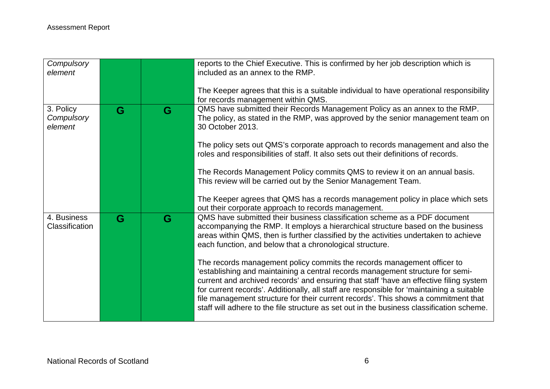| Compulsory<br>element              |   |   | reports to the Chief Executive. This is confirmed by her job description which is<br>included as an annex to the RMP.                                                                                                                                                                                                                                                                                                                                                                                                               |
|------------------------------------|---|---|-------------------------------------------------------------------------------------------------------------------------------------------------------------------------------------------------------------------------------------------------------------------------------------------------------------------------------------------------------------------------------------------------------------------------------------------------------------------------------------------------------------------------------------|
|                                    |   |   | The Keeper agrees that this is a suitable individual to have operational responsibility<br>for records management within QMS.                                                                                                                                                                                                                                                                                                                                                                                                       |
| 3. Policy<br>Compulsory<br>element | G | G | QMS have submitted their Records Management Policy as an annex to the RMP.<br>The policy, as stated in the RMP, was approved by the senior management team on<br>30 October 2013.                                                                                                                                                                                                                                                                                                                                                   |
|                                    |   |   | The policy sets out QMS's corporate approach to records management and also the<br>roles and responsibilities of staff. It also sets out their definitions of records.                                                                                                                                                                                                                                                                                                                                                              |
|                                    |   |   | The Records Management Policy commits QMS to review it on an annual basis.<br>This review will be carried out by the Senior Management Team.                                                                                                                                                                                                                                                                                                                                                                                        |
|                                    |   |   | The Keeper agrees that QMS has a records management policy in place which sets<br>out their corporate approach to records management.                                                                                                                                                                                                                                                                                                                                                                                               |
| 4. Business<br>Classification      | G | G | QMS have submitted their business classification scheme as a PDF document<br>accompanying the RMP. It employs a hierarchical structure based on the business<br>areas within QMS, then is further classified by the activities undertaken to achieve<br>each function, and below that a chronological structure.                                                                                                                                                                                                                    |
|                                    |   |   | The records management policy commits the records management officer to<br>'establishing and maintaining a central records management structure for semi-<br>current and archived records' and ensuring that staff 'have an effective filing system<br>for current records'. Additionally, all staff are responsible for 'maintaining a suitable<br>file management structure for their current records'. This shows a commitment that<br>staff will adhere to the file structure as set out in the business classification scheme. |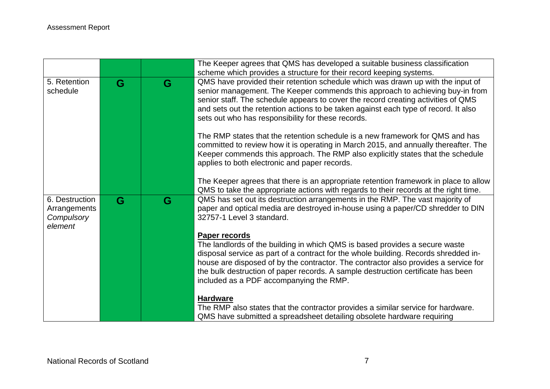|                                                         |   |   | The Keeper agrees that QMS has developed a suitable business classification                                                                                                                                                                                                                                                                                                                                      |
|---------------------------------------------------------|---|---|------------------------------------------------------------------------------------------------------------------------------------------------------------------------------------------------------------------------------------------------------------------------------------------------------------------------------------------------------------------------------------------------------------------|
|                                                         |   |   | scheme which provides a structure for their record keeping systems.                                                                                                                                                                                                                                                                                                                                              |
| 5. Retention<br>schedule                                | G | G | QMS have provided their retention schedule which was drawn up with the input of<br>senior management. The Keeper commends this approach to achieving buy-in from<br>senior staff. The schedule appears to cover the record creating activities of QMS<br>and sets out the retention actions to be taken against each type of record. It also<br>sets out who has responsibility for these records.               |
|                                                         |   |   | The RMP states that the retention schedule is a new framework for QMS and has<br>committed to review how it is operating in March 2015, and annually thereafter. The<br>Keeper commends this approach. The RMP also explicitly states that the schedule<br>applies to both electronic and paper records.                                                                                                         |
|                                                         |   |   | The Keeper agrees that there is an appropriate retention framework in place to allow<br>QMS to take the appropriate actions with regards to their records at the right time.                                                                                                                                                                                                                                     |
| 6. Destruction<br>Arrangements<br>Compulsory<br>element | G | G | QMS has set out its destruction arrangements in the RMP. The vast majority of<br>paper and optical media are destroyed in-house using a paper/CD shredder to DIN<br>32757-1 Level 3 standard.                                                                                                                                                                                                                    |
|                                                         |   |   | <b>Paper records</b><br>The landlords of the building in which QMS is based provides a secure waste<br>disposal service as part of a contract for the whole building. Records shredded in-<br>house are disposed of by the contractor. The contractor also provides a service for<br>the bulk destruction of paper records. A sample destruction certificate has been<br>included as a PDF accompanying the RMP. |
|                                                         |   |   | <b>Hardware</b><br>The RMP also states that the contractor provides a similar service for hardware.<br>QMS have submitted a spreadsheet detailing obsolete hardware requiring                                                                                                                                                                                                                                    |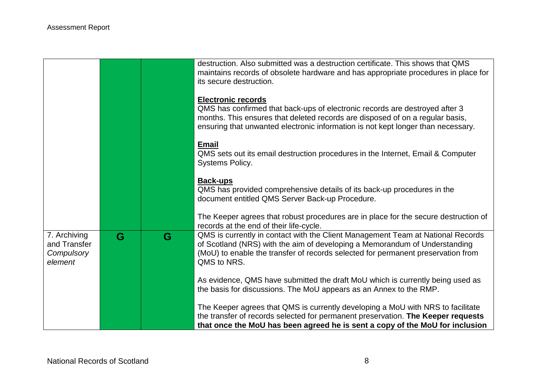|                                                       |   |   | destruction. Also submitted was a destruction certificate. This shows that QMS<br>maintains records of obsolete hardware and has appropriate procedures in place for                                                                                                          |
|-------------------------------------------------------|---|---|-------------------------------------------------------------------------------------------------------------------------------------------------------------------------------------------------------------------------------------------------------------------------------|
|                                                       |   |   | its secure destruction.                                                                                                                                                                                                                                                       |
|                                                       |   |   | <b>Electronic records</b><br>QMS has confirmed that back-ups of electronic records are destroyed after 3<br>months. This ensures that deleted records are disposed of on a regular basis,<br>ensuring that unwanted electronic information is not kept longer than necessary. |
|                                                       |   |   | <b>Email</b><br>QMS sets out its email destruction procedures in the Internet, Email & Computer<br>Systems Policy.                                                                                                                                                            |
|                                                       |   |   | <b>Back-ups</b><br>QMS has provided comprehensive details of its back-up procedures in the<br>document entitled QMS Server Back-up Procedure.                                                                                                                                 |
|                                                       |   |   | The Keeper agrees that robust procedures are in place for the secure destruction of<br>records at the end of their life-cycle.                                                                                                                                                |
| 7. Archiving<br>and Transfer<br>Compulsory<br>element | G | G | QMS is currently in contact with the Client Management Team at National Records<br>of Scotland (NRS) with the aim of developing a Memorandum of Understanding<br>(MoU) to enable the transfer of records selected for permanent preservation from<br>QMS to NRS.              |
|                                                       |   |   | As evidence, QMS have submitted the draft MoU which is currently being used as<br>the basis for discussions. The MoU appears as an Annex to the RMP.                                                                                                                          |
|                                                       |   |   | The Keeper agrees that QMS is currently developing a MoU with NRS to facilitate<br>the transfer of records selected for permanent preservation. The Keeper requests<br>that once the MoU has been agreed he is sent a copy of the MoU for inclusion                           |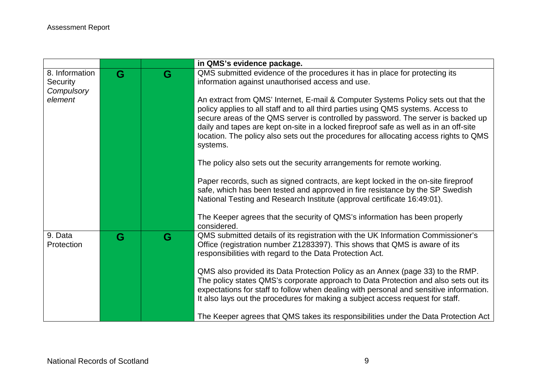|                       |   |   | in QMS's evidence package.                                                                                                                                                                                                                                                                                                                                                                                                                                |
|-----------------------|---|---|-----------------------------------------------------------------------------------------------------------------------------------------------------------------------------------------------------------------------------------------------------------------------------------------------------------------------------------------------------------------------------------------------------------------------------------------------------------|
| 8. Information        | G | G | QMS submitted evidence of the procedures it has in place for protecting its                                                                                                                                                                                                                                                                                                                                                                               |
| <b>Security</b>       |   |   | information against unauthorised access and use.                                                                                                                                                                                                                                                                                                                                                                                                          |
| Compulsory            |   |   |                                                                                                                                                                                                                                                                                                                                                                                                                                                           |
| element               |   |   | An extract from QMS' Internet, E-mail & Computer Systems Policy sets out that the<br>policy applies to all staff and to all third parties using QMS systems. Access to<br>secure areas of the QMS server is controlled by password. The server is backed up<br>daily and tapes are kept on-site in a locked fireproof safe as well as in an off-site<br>location. The policy also sets out the procedures for allocating access rights to QMS<br>systems. |
|                       |   |   | The policy also sets out the security arrangements for remote working.                                                                                                                                                                                                                                                                                                                                                                                    |
|                       |   |   | Paper records, such as signed contracts, are kept locked in the on-site fireproof<br>safe, which has been tested and approved in fire resistance by the SP Swedish<br>National Testing and Research Institute (approval certificate 16:49:01).                                                                                                                                                                                                            |
|                       |   |   |                                                                                                                                                                                                                                                                                                                                                                                                                                                           |
|                       |   |   | The Keeper agrees that the security of QMS's information has been properly<br>considered.                                                                                                                                                                                                                                                                                                                                                                 |
| 9. Data<br>Protection | G | G | QMS submitted details of its registration with the UK Information Commissioner's<br>Office (registration number Z1283397). This shows that QMS is aware of its<br>responsibilities with regard to the Data Protection Act.                                                                                                                                                                                                                                |
|                       |   |   | QMS also provided its Data Protection Policy as an Annex (page 33) to the RMP.<br>The policy states QMS's corporate approach to Data Protection and also sets out its<br>expectations for staff to follow when dealing with personal and sensitive information.<br>It also lays out the procedures for making a subject access request for staff.                                                                                                         |
|                       |   |   | The Keeper agrees that QMS takes its responsibilities under the Data Protection Act                                                                                                                                                                                                                                                                                                                                                                       |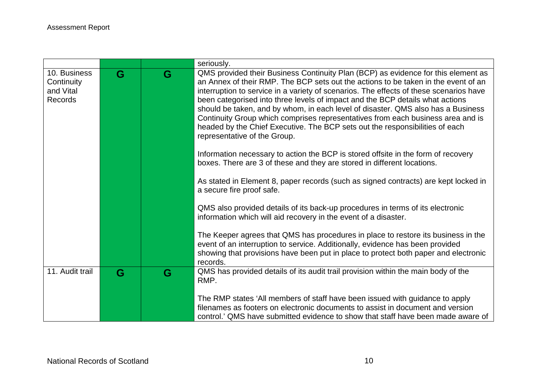|                                                    |   |   | seriously.                                                                                                                                                                                                                                                                                                                                                                                                                                                                                                                                                                                                                                |
|----------------------------------------------------|---|---|-------------------------------------------------------------------------------------------------------------------------------------------------------------------------------------------------------------------------------------------------------------------------------------------------------------------------------------------------------------------------------------------------------------------------------------------------------------------------------------------------------------------------------------------------------------------------------------------------------------------------------------------|
| 10. Business<br>Continuity<br>and Vital<br>Records | G | G | QMS provided their Business Continuity Plan (BCP) as evidence for this element as<br>an Annex of their RMP. The BCP sets out the actions to be taken in the event of an<br>interruption to service in a variety of scenarios. The effects of these scenarios have<br>been categorised into three levels of impact and the BCP details what actions<br>should be taken, and by whom, in each level of disaster. QMS also has a Business<br>Continuity Group which comprises representatives from each business area and is<br>headed by the Chief Executive. The BCP sets out the responsibilities of each<br>representative of the Group. |
|                                                    |   |   | Information necessary to action the BCP is stored offsite in the form of recovery<br>boxes. There are 3 of these and they are stored in different locations.                                                                                                                                                                                                                                                                                                                                                                                                                                                                              |
|                                                    |   |   | As stated in Element 8, paper records (such as signed contracts) are kept locked in<br>a secure fire proof safe.                                                                                                                                                                                                                                                                                                                                                                                                                                                                                                                          |
|                                                    |   |   | QMS also provided details of its back-up procedures in terms of its electronic<br>information which will aid recovery in the event of a disaster.                                                                                                                                                                                                                                                                                                                                                                                                                                                                                         |
|                                                    |   |   | The Keeper agrees that QMS has procedures in place to restore its business in the<br>event of an interruption to service. Additionally, evidence has been provided<br>showing that provisions have been put in place to protect both paper and electronic<br>records.                                                                                                                                                                                                                                                                                                                                                                     |
| 11. Audit trail                                    | G | G |                                                                                                                                                                                                                                                                                                                                                                                                                                                                                                                                                                                                                                           |
|                                                    |   |   | The RMP states 'All members of staff have been issued with guidance to apply                                                                                                                                                                                                                                                                                                                                                                                                                                                                                                                                                              |
|                                                    |   |   | filenames as footers on electronic documents to assist in document and version                                                                                                                                                                                                                                                                                                                                                                                                                                                                                                                                                            |
|                                                    |   |   | QMS has provided details of its audit trail provision within the main body of the<br>RMP.<br>control.' QMS have submitted evidence to show that staff have been made aware of                                                                                                                                                                                                                                                                                                                                                                                                                                                             |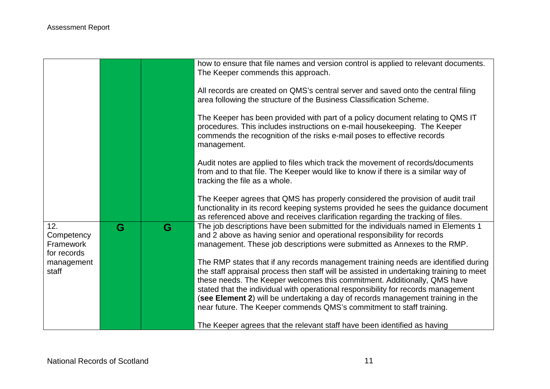|                                               |   |   | how to ensure that file names and version control is applied to relevant documents.<br>The Keeper commends this approach.                                                                                                                                                                                                                                                                                                         |
|-----------------------------------------------|---|---|-----------------------------------------------------------------------------------------------------------------------------------------------------------------------------------------------------------------------------------------------------------------------------------------------------------------------------------------------------------------------------------------------------------------------------------|
|                                               |   |   | All records are created on QMS's central server and saved onto the central filing<br>area following the structure of the Business Classification Scheme.                                                                                                                                                                                                                                                                          |
|                                               |   |   | The Keeper has been provided with part of a policy document relating to QMS IT<br>procedures. This includes instructions on e-mail housekeeping. The Keeper<br>commends the recognition of the risks e-mail poses to effective records<br>management.                                                                                                                                                                             |
|                                               |   |   | Audit notes are applied to files which track the movement of records/documents<br>from and to that file. The Keeper would like to know if there is a similar way of<br>tracking the file as a whole.                                                                                                                                                                                                                              |
|                                               |   |   | The Keeper agrees that QMS has properly considered the provision of audit trail<br>functionality in its record keeping systems provided he sees the guidance document<br>as referenced above and receives clarification regarding the tracking of files.                                                                                                                                                                          |
| 12.<br>Competency<br>Framework<br>for records | G | G | The job descriptions have been submitted for the individuals named in Elements 1<br>and 2 above as having senior and operational responsibility for records<br>management. These job descriptions were submitted as Annexes to the RMP.                                                                                                                                                                                           |
| management<br>staff                           |   |   | The RMP states that if any records management training needs are identified during<br>the staff appraisal process then staff will be assisted in undertaking training to meet<br>these needs. The Keeper welcomes this commitment. Additionally, QMS have<br>stated that the individual with operational responsibility for records management<br>(see Element 2) will be undertaking a day of records management training in the |
|                                               |   |   | near future. The Keeper commends QMS's commitment to staff training.<br>The Keeper agrees that the relevant staff have been identified as having                                                                                                                                                                                                                                                                                  |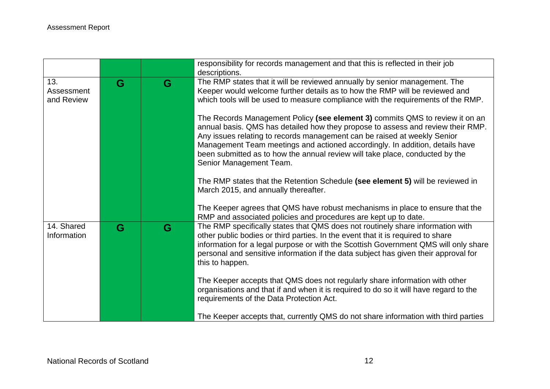|                                 |   |   | responsibility for records management and that this is reflected in their job<br>descriptions.                                                                                                                                                                                                                                                                                                                                                                                                                                                                                                                                                                                                                                                                                                                    |
|---------------------------------|---|---|-------------------------------------------------------------------------------------------------------------------------------------------------------------------------------------------------------------------------------------------------------------------------------------------------------------------------------------------------------------------------------------------------------------------------------------------------------------------------------------------------------------------------------------------------------------------------------------------------------------------------------------------------------------------------------------------------------------------------------------------------------------------------------------------------------------------|
| 13.<br>Assessment<br>and Review | G | G | The RMP states that it will be reviewed annually by senior management. The<br>Keeper would welcome further details as to how the RMP will be reviewed and<br>which tools will be used to measure compliance with the requirements of the RMP.<br>The Records Management Policy (see element 3) commits QMS to review it on an<br>annual basis. QMS has detailed how they propose to assess and review their RMP.<br>Any issues relating to records management can be raised at weekly Senior<br>Management Team meetings and actioned accordingly. In addition, details have<br>been submitted as to how the annual review will take place, conducted by the<br>Senior Management Team.<br>The RMP states that the Retention Schedule (see element 5) will be reviewed in<br>March 2015, and annually thereafter. |
|                                 |   |   | The Keeper agrees that QMS have robust mechanisms in place to ensure that the<br>RMP and associated policies and procedures are kept up to date.                                                                                                                                                                                                                                                                                                                                                                                                                                                                                                                                                                                                                                                                  |
| 14. Shared<br>Information       | G | G | The RMP specifically states that QMS does not routinely share information with<br>other public bodies or third parties. In the event that it is required to share<br>information for a legal purpose or with the Scottish Government QMS will only share<br>personal and sensitive information if the data subject has given their approval for<br>this to happen.                                                                                                                                                                                                                                                                                                                                                                                                                                                |
|                                 |   |   | The Keeper accepts that QMS does not regularly share information with other<br>organisations and that if and when it is required to do so it will have regard to the<br>requirements of the Data Protection Act.                                                                                                                                                                                                                                                                                                                                                                                                                                                                                                                                                                                                  |
|                                 |   |   | The Keeper accepts that, currently QMS do not share information with third parties                                                                                                                                                                                                                                                                                                                                                                                                                                                                                                                                                                                                                                                                                                                                |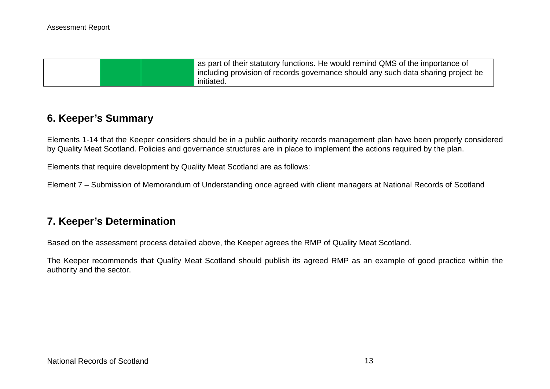| as part of their statutory functions. He would remind QMS of the importance of    |
|-----------------------------------------------------------------------------------|
| including provision of records governance should any such data sharing project be |
| initiated.                                                                        |

### **6. Keeper's Summary**

Elements 1-14 that the Keeper considers should be in a public authority records management plan have been properly considered by Quality Meat Scotland. Policies and governance structures are in place to implement the actions required by the plan.

Elements that require development by Quality Meat Scotland are as follows:

Element 7 – Submission of Memorandum of Understanding once agreed with client managers at National Records of Scotland

## **7. Keeper's Determination**

Based on the assessment process detailed above, the Keeper agrees the RMP of Quality Meat Scotland.

The Keeper recommends that Quality Meat Scotland should publish its agreed RMP as an example of good practice within the authority and the sector.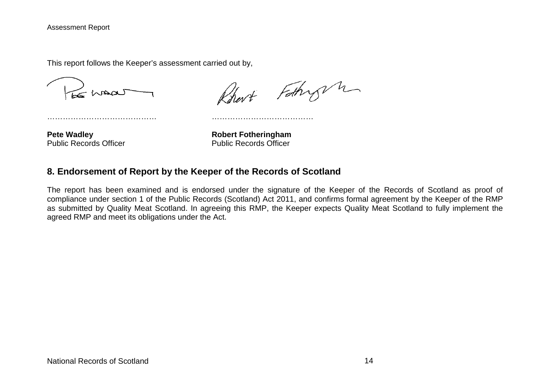This report follows the Keeper's assessment carried out by,

LE MADA

Rhart Fathry n

…………………………………… …………………………………

Public Records Officer

**Pete Wadley**<br> **Public Records Officer**<br> **Robert Fotheringham**<br> **Public Records Officer** 

#### **8. Endorsement of Report by the Keeper of the Records of Scotland**

The report has been examined and is endorsed under the signature of the Keeper of the Records of Scotland as proof of compliance under section 1 of the Public Records (Scotland) Act 2011, and confirms formal agreement by the Keeper of the RMP as submitted by Quality Meat Scotland. In agreeing this RMP, the Keeper expects Quality Meat Scotland to fully implement the agreed RMP and meet its obligations under the Act.